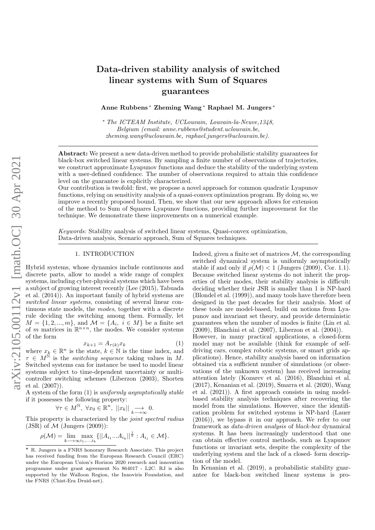# Data-driven stability analysis of switched linear systems with Sum of Squares guarantees

Anne Rubbens <sup>∗</sup> Zheming Wang <sup>∗</sup> Raphael M. Jungers <sup>∗</sup>

<sup>∗</sup> The ICTEAM Institute, UCLouvain, Louvain-la-Neuve,1348, Belgium (email: anne.rubbens@student.uclouvain.be, zheming.wang@uclouvain.be, raphael.jungers@uclouvain.be).

Abstract: We present a new data-driven method to provide probabilistic stability guarantees for black-box switched linear systems. By sampling a finite number of observations of trajectories, we construct approximate Lyapunov functions and deduce the stability of the underlying system with a user-defined confidence. The number of observations required to attain this confidence level on the guarantee is explicitly characterized.

Our contribution is twofold: first, we propose a novel approach for common quadratic Lyapunov functions, relying on sensitivity analysis of a quasi-convex optimization program. By doing so, we improve a recently proposed bound. Then, we show that our new approach allows for extension of the method to Sum of Squares Lyapunov functions, providing further improvement for the technique. We demonstrate these improvements on a numerical example.

Keywords: Stability analysis of switched linear systems, Quasi-convex optimization, Data-driven analysis, Scenario approach, Sum of Squares techniques.

## 1. INTRODUCTION

Hybrid systems, whose dynamics include continuous and discrete parts, allow to model a wide range of complex systems, including cyber-physical systems which have been a subject of growing interest recently (Lee (2015), Tabuada et al. (2014)). An important family of hybrid systems are switched linear systems, consisting of several linear continuous state models, the *modes*, together with a discrete rule deciding the switching among them. Formally, let  $M = \{1, 2, ..., m\}$ , and  $\mathcal{M} = \{A_i, i \in M\}$  be a finite set of m matrices in  $\mathbb{R}^{n \times n}$ , the modes. We consider systems of the form

$$
x_{k+1} = A_{\tau(k)} x_k \tag{1}
$$

where  $x_k \in \mathbb{R}^n$  is the state,  $k \in \mathbb{N}$  is the time index, and  $\tau \in M^{\tilde{\mathbb{N}}}$  is the *switching sequence* taking values in M. Switched systems can for instance be used to model linear systems subject to time-dependent uncertainty or multicontroller switching schemes (Liberzon (2003), Shorten et al. (2007)).

A system of the form (1) is uniformly asymptotically stable if it possesses the following property:

$$
\forall \tau \in M^{\mathbb{N}}, \ \forall x_0 \in \mathbb{R}^n, \ ||x_k|| \underset{k \longrightarrow \infty}{\longrightarrow} 0.
$$

This property is characterized by the joint spectral radius (JSR) of  $\mathcal M$  (Jungers (2009)):

$$
\rho(\mathcal{M}) = \lim_{k \to \infty} \max_{i_1, \dots, i_k} \{ ||A_{i_1} ... A_{i_k}||^{\frac{1}{k}} : A_{i_j} \in \mathcal{M} \}.
$$

Indeed, given a finite set of matrices  $M$ , the corresponding switched dynamical system is uniformly asymptotically stable if and only if  $\rho(\mathcal{M}) < 1$  (Jungers (2009), Cor. 1.1). Because switched linear systems do not inherit the properties of their modes, their stability analysis is difficult: deciding whether their JSR is smaller than 1 is NP-hard (Blondel et al. (1999)), and many tools have therefore been designed in the past decades for their analysis. Most of these tools are model-based, build on notions from Lyapunov and invariant set theory, and provide deterministic guarantees when the number of modes is finite (Lin et al. (2009), Blanchini et al. (2007), Liberzon et al. (2004)).

However, in many practical applications, a closed-form model may not be available (think for example of selfdriving cars, complex robotic systems, or smart grids applications). Hence, stability analysis based on information obtained via a sufficient number of simulations (or observations of the unknown system) has received increasing attention lately (Kozarev et al. (2016), Blanchini et al. (2017), Kenanian et al. (2019), Smarra et al. (2020), Wang et al. (2021)). A first approach consists in using modelbased stability analysis techniques after recovering the model from the simulations. However, since the identification problem for switched systems is NP-hard (Lauer (2016)), we bypass it in our approach. We refer to our framework as data-driven analysis of black-box dynamical systems. It has been increasingly understood that one can obtain effective control methods, such as Lyapunov functions or invariant sets, despite the complexity of the underlying system and the lack of a closed- form description of the model.

In Kenanian et al. (2019), a probabilistic stability guarantee for black-box switched linear systems is pro-

 $\star$  R. Jungers is a FNRS honorary Research Associate. This project has received funding from the European Research Council (ERC) under the European Union's Horizon 2020 research and innovation programme under grant agreement No 864017 - L2C. RJ is also supported by the Walloon Region, the Innoviris Foundation, and the FNRS (Chist-Era Druid-net).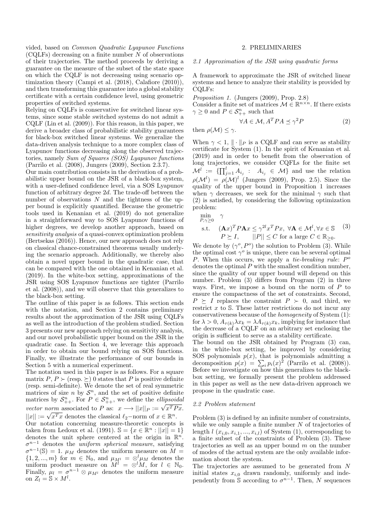vided, based on Common Quadratic Lyapunov Functions  $(CQLFs)$  decreasing on a finite number N of observations of their trajectories. The method proceeds by deriving a guarantee on the measure of the subset of the state space on which the CQLF is not decreasing using scenario optimization theory (Campi et al. (2018), Calafiore (2010)), and then transforming this guarantee into a global stability certificate with a certain confidence level, using geometric properties of switched systems.

Relying on CQLFs is conservative for switched linear systems, since some stable switched systems do not admit a CQLF (Lin et al. (2009)). For this reason, in this paper, we derive a broader class of probabilistic stability guarantees for black-box switched linear systems. We generalize the data-driven analysis technique to a more complex class of Lyapunov functions decreasing along the observed trajectories, namely Sum of Squares (SOS) Lyapunov functions (Parrilo et al. (2008), Jungers (2009), Section 2.3.7).

Our main contribution consists in the derivation of a probabilistic upper bound on the JSR of a black-box system, with a user-defined confidence level, via a SOS Lyapunov function of arbitrary degree 2d. The trade-off between the number of observations  $N$  and the tightness of the upper bound is explicitly quantified. Because the geometric tools used in Kenanian et al. (2019) do not generalize in a straightforward way to SOS Lyapunov functions of higher degrees, we develop another approach, based on sensitivity analysis of a quasi-convex optimization problem (Bertsekas (2016)). Hence, our new approach does not rely on classical chance-constrained theorems usually underlying the scenario approach. Additionally, we thereby also obtain a novel upper bound in the quadratic case, that can be compared with the one obtained in Kenanian et al. (2019). In the white-box setting, approximations of the JSR using SOS Lyapunov functions are tighter (Parrilo et al. (2008)), and we will observe that this generalizes to the black-box setting.

The outline of this paper is as follows. This section ends with the notation, and Section 2 contains preliminary results about the approximation of the JSR using CQLFs as well as the introduction of the problem studied. Section 3 presents our new approach relying on sensitivity analysis, and our novel probabilistic upper bound on the JSR in the quadratic case. In Section 4, we leverage this approach in order to obtain our bound relying on SOS functions. Finally, we illustrate the performance of our bounds in Section 5 with a numerical experiment.

The notation used in this paper is as follows. For a square matrix  $P, P \succ (resp. \geq )$  0 states that P is positive definite (resp. semi-definite). We denote the set of real symmetric matrices of size *n* by  $S<sup>n</sup>$ , and the set of positive definite matrices by  $S_{++}^n$ . For  $P \in S_{++}^n$ , we define the *ellipsoidal* matrices by  $O_{++}$ . For  $I \in O_{++}$ , we define the *empsondue*<br>vector norm associated to P as:  $x \rightarrow ||x||_P := \sqrt{x^T P x}$ . vector norm associated to *F* as:  $x \rightarrow ||x||_P := \sqrt{x^T x}$ <br> $||x|| := \sqrt{x^T x}$  denotes the classical  $\ell_2$ -norm of  $x \in \mathbb{R}^n$ . Our notation concerning measure-theoretic concepts is taken from Ledoux et al. (1991).  $\mathbb{S} = \{x \in \mathbb{R}^n : ||x|| = 1\}$ denotes the unit sphere centered at the origin in  $\mathbb{R}^n$ .  $\sigma^{n-1}$  denotes the *uniform spherical measure*, satisfying  $\sigma^{n-1}(\mathbb{S}) = 1$ .  $\mu_M$  denotes the uniform measure on  $M =$  $\{1, 2, ..., m\}$  for  $m \in \mathbb{N}_0$ , and  $\mu_{M^l} = \otimes^l \mu_M$  denotes the uniform product measure on  $\ddot{M}^l = \otimes^l \ddot{M}$ , for  $l \in \mathbb{N}_0$ . Finally,  $\mu_l = \sigma^{n-1} \otimes \mu_{M^l}$  denotes the uniform measure on  $Z_l = \mathbb{S} \times M^l$ .

#### 2. PRELIMINARIES

2.1 Approximation of the JSR using quadratic forms

A framework to approximate the JSR of switched linear systems and hence to analyze their stability is provided by CQLFs:

Proposition 1. (Jungers (2009), Prop. 2.8)

Consider a finite set of matrices  $\mathcal{M} \in \mathbb{R}^{n \times n}$ . If there exists  $\gamma \geq 0$  and  $P \in \mathcal{S}_{++}^n$  such that

$$
\forall A \in \mathcal{M}, A^T P A \preceq \gamma^2 P \tag{2}
$$

then  $\rho(\mathcal{M}) \leq \gamma$ .

When  $\gamma < 1$ ,  $\|\cdot\|_P$  is a CQLF and can serve as stability certificate for System (1). In the spirit of Kenanian et al. (2019) and in order to benefit from the observation of long trajectories, we consider CQFLs for the finite set  $\mathcal{M}^l := \{ \prod_{j=1}^l A_{i_j} : A_{i_j} \in \mathcal{M} \}$  and use the relation  $\rho(\mathcal{M}^l) = \rho(\mathcal{M})^l$  (Jungers (2009), Prop. 2.5). Since the quality of the upper bound in Proposition 1 increases when  $\gamma$  decreases, we seek for the minimal  $\gamma$  such that (2) is satisfied, by considering the following optimization problem:

$$
\min_{P,\gamma\geq 0} \quad \gamma
$$

s.t. 
$$
(\mathbf{A}x)^T P \mathbf{A}x \le \gamma^{2l} x^T P x, \ \forall \mathbf{A} \in \mathcal{M}^l, \forall x \in \mathbb{S}
$$
 (3)  
 $P \succeq I, \qquad ||P|| \le C \text{ for a large } C \in \mathbb{R}_{\ge 0}.$ 

We denote by  $(\gamma^o, P^o)$  the solution to Problem (3). While the optimal cost  $\gamma^o$  is unique, there can be several optimal P. When this occurs, we apply a *tie-breaking rule:*  $P^{\circ}$ denotes the optimal P with the smallest condition number, since the quality of our upper bound will depend on this number. Problem (3) differs from Program (2) in three ways. First, we impose a bound on the norm of  $P$  to ensure the compactness of the set of constraints. Second,  $P \geq I$  replaces the constraint  $P \succ 0$ , and third, we restrict  $x$  to  $S$ . These latter restrictions do not incur any conservativeness because of the homogeneity of System (1): for  $\lambda > 0$ ,  $A_{\tau(k)} \lambda x_k = \lambda A_{\tau(k)} x_k$ , implying for instance that the decrease of a CQLF on an arbitrary set enclosing the origin is sufficient to serve as a stability certificate.

The bound on the JSR obtained by Program (3) can, in the white-box setting, be improved by considering SOS polynomials  $p(x)$ , that is polynomials admitting a decomposition  $p(x) = \sum_i p_i(x)^2$  (Parrilo et al. (2008)). Before we investigate on how this generalizes to the blackbox setting, we formally present the problem addressed in this paper as well as the new data-driven approach we propose in the quadratic case.

#### 2.2 Problem statement

Problem (3) is defined by an infinite number of constraints, while we only sample a finite number  $N$  of trajectories of length  $l(x_{i,0}, x_{i,1}, ..., x_{i,l})$  of System (1), corresponding to a finite subset of the constraints of Problem (3). These trajectories as well as an upper bound  $m$  on the number of modes of the actual system are the only available information about the system.

The trajectories are assumed to be generated from N initial states  $x_{i,0}$  drawn randomly, uniformly and independently from  $\mathbb S$  according to  $\sigma^{n-1}$ . Then, N sequences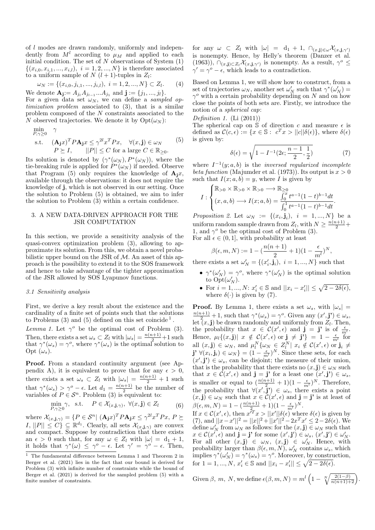of l modes are drawn randomly, uniformly and independently from  $M^l$  according to  $\mu_M$  and applied to each initial condition. The set of  $N$  observations of System  $(1)$  $\{(x_{i,0}, x_{i,1}, ..., x_{i,l}), i = 1, 2, ..., N\}$  is therefore associated to a uniform sample of  $N$   $(l + 1)$ -tuples in  $Z_l$ :

$$
\omega_N := \{ (x_{i,0}, j_{i,1}, ..., j_{i,l}), \ i = 1, 2, ..., N \} \subset Z_l.
$$
 (4)

We denote  $\mathbf{A}_{\mathbf{j}} := A_{j_l} A_{j_{l-1}} ... A_{j_1}$  and  $\mathbf{j} := \{j_1, ..., j_l\}.$ For a given data set  $\omega_N$ , we can define a *sampled op*timization problem associated to (3), that is a similar problem composed of the N constraints associated to the N observed trajectories. We denote it by  $Opt(\omega_N)$ :

$$
\min_{P,\gamma \geq 0} \gamma
$$
\n
$$
\text{s.t.} \quad (\mathbf{A}_{\mathbf{j}}x)^{T} P \mathbf{A}_{\mathbf{j}}x \leq \gamma^{2l} x^{T} P x, \quad \forall (x, \mathbf{j}) \in \omega_{N} \quad (5)
$$
\n
$$
P \succeq I, \qquad ||P|| \leq C \text{ for a large } C \in \mathbb{R}_{\geq 0}.
$$

Its solution is denoted by  $(\gamma^*(\omega_N), P^*(\omega_N))$ , where the tie-breaking rule is applied for  $P^*(\omega_N)$  if needed. Observe that Program (5) only requires the knowledge of  $\mathbf{A}_i x$ , available through the observations: it does not require the knowledge of j, which is not observed in our setting. Once the solution to Problem (5) is obtained, we aim to infer the solution to Problem (3) within a certain confidence.

## 3. A NEW DATA-DRIVEN APPROACH FOR THE JSR COMPUTATION

In this section, we provide a sensitivity analysis of the quasi-convex optimization problem (3), allowing to approximate its solution. From this, we obtain a novel probabilistic upper bound on the JSR of  $M$ . An asset of this approach is the possibility to extend it to the SOS framework and hence to take advantage of the tighter approximation of the JSR allowed by SOS Lyapunov functions.

# 3.1 Sensitivity analysis

First, we derive a key result about the existence and the cardinality of a finite set of points such that the solutions to Problems  $(3)$  and  $(5)$  defined on this set coincide<sup>1</sup>.

Lemma 1. Let  $\gamma^o$  be the optimal cost of Problem (3). Then, there exists a set  $\omega_s \subset Z_l$  with  $|\omega_s| = \frac{n(n+1)}{2} + 1$  such that  $\gamma^*(\omega_s) = \gamma^o$ , where  $\gamma^*(\omega_s)$  is the optimal solution to Opt  $(\omega_s)$ .

Proof. From a standard continuity argument (see Appendix A), it is equivalent to prove that for any  $\epsilon > 0$ , there exists a set  $\omega_s \subset Z_l$  with  $|\omega_s| = \frac{n(n+1)}{2} + 1$  such that  $\gamma^*(\omega_s) > \gamma^o - \epsilon$ . Let  $d_1 = \frac{n(n+1)}{2}$  $\frac{1}{2}$  be the number of variables of  $P \in \mathcal{S}^n$ . Problem (3) is equivalent to:

$$
\min_{P,\gamma \ge 0} \gamma, \quad \text{s.t.} \quad P \in \mathcal{X}_{(x,\mathbf{j},\gamma)}, \ \forall (x,\mathbf{j}) \in Z_l \tag{6}
$$

where  $\mathcal{X}_{(x, \mathbf{j}, \gamma)} = \{ P \in \mathcal{S}^n \vert \ (\mathbf{A}_\mathbf{j} x)^T P \mathbf{A}_\mathbf{j} x \leq \gamma^{2l} x^T P x, P \succeq$  $I, ||P|| \leq C$   $\subseteq \mathbb{R}^{d_1}$ . Clearly, all sets  $\mathcal{X}_{(x, \mathbf{j}, \gamma)}$  are convex and compact. Suppose by contradiction that there exists an  $\epsilon > 0$  such that, for any  $\omega \in Z_l$  with  $|\omega| = d_1 + 1$ , it holds that  $\gamma^*(\omega) \leq \gamma^o - \epsilon$ . Let  $\gamma' = \gamma^o - \epsilon$ . Then, for any  $\omega \subset Z_l$  with  $|\omega| = d_1 + 1$ ,  $\cap_{(x, \mathbf{j}) \in \omega} \mathcal{X}_{(x, \mathbf{j}, \gamma')}$ is nonempty. Hence, by Helly's theorem (Danzer et al. (1963)),  $\bigcap_{(x,\mathbf{j})\subset Z_l} \mathcal{X}_{(x,\mathbf{j},\gamma')}$  is nonempty. As a result,  $\gamma^o \leq$  $\gamma' = \gamma^o - \epsilon$ , which leads to a contradiction.

Based on Lemma 1, we will show how to construct, from a set of trajectories  $\omega_N$ , another set  $\omega'_N$  such that  $\gamma^*(\omega'_N)$  =  $\gamma^o$  with a certain probability depending on N and on how close the points of both sets are. Firstly, we introduce the notion of a spherical cap:

#### Definition 1.  $(Li (2011))$

The spherical cap on  $S$  of direction c and measure  $\epsilon$  is defined as  $\mathcal{C}(c, \epsilon) := \{x \in \mathbb{S} : c^T x > ||c|| \delta(\epsilon) \}$ , where  $\delta(\epsilon)$ is given by:

$$
\delta(\epsilon) = \sqrt{1 - I^{-1}(2\epsilon; \frac{n-1}{2}, \frac{1}{2})}
$$
\n(7)

where  $I^{-1}(y; a, b)$  is the *inversed regularized incomplete* beta function (Majumder et al. (1973)). Its output is  $x > 0$ such that  $I(x; a, b) = y$ , where I is given by

$$
I: \begin{cases} \mathbb{R}_{>0} \times \mathbb{R}_{>0} \times \mathbb{R}_{>0} \longrightarrow \mathbb{R}_{\geq 0} \\ (x, a, b) \longrightarrow I(x; a, b) = \frac{\int_0^x t^{a-1} (1-t)^{b-1} dt}{\int_0^1 t^{a-1} (1-t)^{b-1} dt}. \end{cases}
$$

*Proposition 2.* Let  $\omega_N := \{(x_i, \mathbf{j}_i), i = 1, ..., N\}$  be a uniform random sample drawn from  $Z_l$ , with  $N \geq \frac{n(n+1)}{2} +$ 1, and  $\gamma^o$  be the optimal cost of Problem (3). For all  $\epsilon \in (0, 1]$ , with probability at least

$$
\beta(\epsilon, m, N) := 1 - \left(\frac{n(n+1)}{2} + 1\right)(1 - \frac{\epsilon}{m^l})^N,
$$

there exists a set  $\omega'_{N} = \{(x'_{i}, \mathbf{j}_{i}), i = 1, ..., N\}$  such that

- $\gamma^*(\omega'_N) = \gamma^o$ , where  $\gamma^*(\omega'_N)$  is the optimal solution to  $\mathrm{Opt}(\omega'_N)$ .
- For  $i = 1, ..., N$ :  $x'_i \in \mathbb{S}$  and  $||x_i x'_i|| \leq \sqrt{2 2\delta(\epsilon)}$ , where  $\delta(\cdot)$  is given by (7).

**Proof.** By Lemma 1, there exists a set  $\omega_s$ , with  $|\omega_s|$  =  $\frac{n(n+1)}{2}+1$ , such that  $\gamma^*(\omega_s) = \gamma^o$ . Given any  $(x', \mathbf{j'}) \in \omega_s$ , let  $(x, j)$  be drawn randomly and uniformly from  $Z_l$ . Then, the probability that  $x \in C(x', \epsilon)$  and  $\mathbf{j} = \mathbf{j}'$  is of  $\frac{\epsilon}{m!}$ . Hence,  $\mu_1\{(x, \mathbf{j}) | x \notin C(x', \epsilon) \text{ or } \mathbf{j} \neq \mathbf{j'}\} = 1 - \frac{\epsilon}{m^t}$  for all  $(x, \mathbf{j}) \in \omega_N$ , and  $\mu_l^N\{\omega_N \in Z_l^N \mid x_i \notin C(x', \epsilon) \text{ or } \mathbf{j}_i \neq \epsilon\}$  $\mathbf{j'}\ \forall (x_i, \mathbf{j}_i) \in \omega_N$  =  $(1 - \frac{\epsilon}{m^l})^N$ . Since these sets, for each  $(x',\mathbf{j}') \in \omega_s$ , can be disjoint; the measure of their union, that is the probability that there exists no  $(x, j) \in \omega_N$  such that  $x \in \mathcal{C}(x', \epsilon)$  and  $\mathbf{j} = \mathbf{j'}$  for a least one  $(x', \mathbf{j'}) \in \omega_s$ , is smaller or equal to  $\left(\frac{n(n+1)}{2}+1\right)(1-\frac{\epsilon}{m^l})^N$ . Therefore, the probability that  $\forall (x',\mathbf{j'}) \in \omega_s$ , there exists a point  $(x, \mathbf{j}) \in \omega_N$  such that  $x \in \mathcal{C}(x', \epsilon)$  and  $\mathbf{j} = \mathbf{j'}$  is at least of  $\beta(\epsilon, m, N) = 1 - (\frac{n(n+1)}{2} + 1)(1 - \frac{\epsilon}{m^l})^N.$ 

If  $x \in \mathcal{C}(x', \epsilon)$ , then  $x'^T x > ||x'||\delta(\epsilon)$  where  $\delta(\epsilon)$  is given by (7), and  $||x-x'||^2 = ||x||^2 + ||x'||^2 - 2x^T x' \leq 2 - 2\delta(\epsilon)$ . We define  $\omega'_{N}$  from  $\omega_{N}$  as follows: for the  $(x, \mathbf{j}) \in \omega_{N}$  such that  $x \in \mathcal{C}(x', \epsilon)$  and  $\mathbf{j} = \mathbf{j'}$  for some  $(x', \mathbf{j'}) \in \omega_s$ ,  $(x', \mathbf{j'}) \in \omega'_{N}$ . For all other  $(x, \mathbf{j}) \in \omega_N$ ,  $(x, \mathbf{j}) \in \omega'_N$ . Hence, with probability larger than  $\beta(\epsilon, m, N)$ ,  $\omega'_{N}$  contains  $\omega_{s}$ , which implies  $\gamma^*(\omega'_N) = \gamma^*(\omega_s) = \gamma^o$ . Moreover, by construction, for  $1 = 1, ..., N$ ,  $x'_i \in \mathbb{S}$  and  $||x_i - x'_i|| \leq \sqrt{2 - 2\delta(\epsilon)}$ .

Given 
$$
\beta
$$
, m, N, we define  $\epsilon(\beta, m, N) = m^l \left(1 - \sqrt[N]{\frac{2(1-\beta)}{n(n+1)+2}}\right)$ .

 $^{\rm 1}$  The fundamental difference between Lemma 1 and Theorem 2 in Berger et al. (2021) lies in the fact that our bound is derived for Problem (3) with infinite number of constraints while the bound of Berger et al. (2021) is derived for the sampled problem (5) with a finite number of constraints.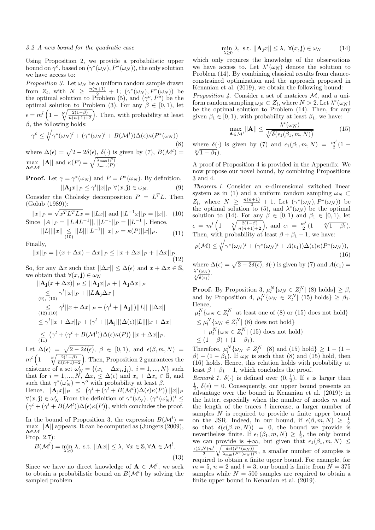#### 3.2 A new bound for the quadratic case

Using Proposition 2, we provide a probabilistic upper bound on  $\gamma^o$ , based on  $(\gamma^*(\omega_N), P^*(\omega_N))$ , the only solution we have access to:

*Proposition 3.* Let  $\omega_N$  be a uniform random sample drawn from  $Z_l$ , with  $N \geq \frac{n(n+1)}{2} + 1$ ;  $(\gamma^*(\omega_N), P^*(\omega_N))$  be the optimal solution to Problem (5), and  $(\gamma^o, P^o)$  be the optimal solution to Problem (3). For any  $\beta \in [0,1)$ , let  $\epsilon = m^l \left( 1 - \sqrt[N]{\frac{2(1-\beta)}{n(n+1)+2}} \right)$ . Then, with probability at least  $β$ , the following holds:

$$
\gamma^{o} \leq \sqrt[l]{\gamma^{*}(\omega_{N})^{l} + (\gamma^{*}(\omega_{N})^{l} + B(\mathcal{M}^{l}))\Delta(\epsilon)\kappa(P^{*}(\omega_{N}))}
$$
\n(8)

where  $\Delta(\epsilon) = \sqrt{2 - 2\delta(\epsilon)}, \delta(\cdot)$  is given by (7),  $B(\mathcal{M}^l) =$  $\max_{\mathbf{A} \in \mathcal{M}^l} ||\mathbf{A}||$  and  $\kappa(P) = \sqrt{\frac{\lambda_{\max}(P)}{\lambda_{\min}(P)}}$ .

**Proof.** Let  $\gamma = \gamma^*(\omega_N)$  and  $P = P^*(\omega_N)$ . By definition,  $||\mathbf{A_j}x||_P \leq \gamma^l ||x||_P \ \forall (x, \mathbf{j}) \in \omega_N.$  (9)

Consider the Cholesky decomposition  $P = L^T L$ . Then  $(Golub (1989))$ :

$$
||x||_P = \sqrt{x^T L^T L x} = ||Lx|| \text{ and } ||L^{-1}x||_P = ||x||. \quad (10)
$$
  
Since  $||A||_P = ||L A L^{-1}||, ||L^{-1}||_P = ||L^{-1}||.$  Hence,

 $||L|| ||x|| \le ||L|| ||L^{-1}||||x||_P = \kappa(P)||x||_P.$ 

$$
||L|| ||x|| \le ||L|| ||L|| ||x||_P = \kappa(P) ||x||_P. \tag{11}
$$

Finally,

$$
||x||_P = ||(x + \Delta x) - \Delta x||_P \le ||x + \Delta x||_P + ||\Delta x||_P.
$$
\n(12)

So, for any  $\Delta x$  such that  $||\Delta x|| \leq \Delta(\epsilon)$  and  $x + \Delta x \in \mathbb{S}$ , we obtain that  $\forall (x, \mathbf{j}) \in \omega_N$ 

$$
||\mathbf{A}_{\mathbf{j}}(x+\Delta x)||_P \leq ||\mathbf{A}_{\mathbf{j}}x||_P + ||\mathbf{A}_{\mathbf{j}}\Delta x||_P
$$
  
\n
$$
\leq \gamma^l ||x||_P + ||L\mathbf{A}_{\mathbf{j}}\Delta x||
$$
  
\n
$$
\leq \gamma^l ||x+\Delta x||_P + (\gamma^l + ||\mathbf{A}_{\mathbf{j}}||) ||L|| ||\Delta x||
$$
  
\n
$$
\leq \gamma^l ||x+\Delta x||_P + (\gamma^l + ||\mathbf{A}_{\mathbf{j}}||) \Delta(\epsilon) ||L|| ||x+\Delta x||
$$
  
\n
$$
\leq (\gamma^l + (\gamma^l + B(\mathcal{M}^l))\Delta(\epsilon)\kappa(P)) ||x+\Delta x||_P.
$$

Let  $\Delta(\epsilon) = \sqrt{2 - 2\delta(\epsilon)}, \ \beta \in [0, 1), \text{ and } \epsilon(\beta, m, N) =$  $m^l\left(1-\sqrt[N]{\frac{2(1-\beta)}{n(n+1)+2}}\right)$ . Then, Proposition 2 guarantees the existence of a set  $\omega'_{N} = \{ (x_i + \Delta x_i, \mathbf{j}_i), i = 1, ..., N \}$  such that for  $i = 1, ..., N$ ,  $\Delta x_i \leq \Delta(\epsilon)$  and  $x_i + \Delta x_i \in \mathbb{S}$ , and such that  $\gamma^*(\omega'_N) = \gamma^o$  with probability at least  $\beta$ .

Hence,  $||\mathbf{A_j}x||_P \leq (\gamma^l + (\gamma^l + B(\mathcal{M}^l))\Delta(\epsilon)\kappa(P)) ||x||_P$  $\forall (x, \mathbf{j}) \in \omega'_N$ . From the definition of  $\gamma^*(\omega'_N)$ ,  $(\gamma^*(\omega'_N))^l \leq$  $(\gamma^l + (\gamma^l + B(\mathcal{M}^l))\Delta(\epsilon)\kappa(P))$ , which concludes the proof.

In the bound of Proposition 3, the expression  $B(\mathcal{M}^l)$  =  $\max_{\mathbf{A} \in \mathcal{M}^l} ||\mathbf{A}||$  appears. It can be computed as (Jungers (2009), Prop. 2.7):

$$
B(\mathcal{M}^{l}) = \min_{\lambda \ge 0} \lambda, \text{ s.t. } ||\mathbf{A}x|| \le \lambda, \forall x \in \mathbb{S}, \forall \mathbf{A} \in \mathcal{M}^{l}.
$$
\n(13)

Since we have no direct knowledge of  $A \in \mathcal{M}^l$ , we seek to obtain a probabilistic bound on  $B(\mathcal{M}^l)$  by solving the sampled problem

$$
\min_{\lambda \ge 0} \lambda, \text{ s.t. } ||\mathbf{A_j}x|| \le \lambda, \ \forall (x, \mathbf{j}) \in \omega_N \tag{14}
$$

which only requires the knowledge of the observations we have access to. Let  $\lambda^*(\omega_N)$  denote the solution to Problem (14). By combining classical results from chanceconstrained optimization and the approach proposed in Kenanian et al. (2019), we obtain the following bound:

Proposition 4. Consider a set of matrices M, and a uniform random sampling  $\omega_N \subset Z_l$ , where  $N > 2$ . Let  $\lambda^*(\omega_N)$ be the optimal solution to Problem (14). Then, for any given  $\beta_1 \in [0, 1)$ , with probability at least  $\beta_1$ , we have:

$$
\max_{\mathbf{A}\in\mathcal{M}^l} ||\mathbf{A}|| \le \frac{\lambda^*(\omega_N)}{\sqrt[l]{\delta(\epsilon_1(\beta_1, m, N))}}\tag{15}
$$

where  $\delta(\cdot)$  is given by (7) and  $\epsilon_1(\beta_1, m, N) = \frac{m^l}{2}(1 - \sqrt[N]{1 - \beta_1}).$ 

A proof of Proposition 4 is provided in the Appendix. We now propose our novel bound, by combining Propositions 3 and 4.

Theorem 1. Consider an n-dimensional switched linear system as in (1) and a uniform random sampling  $\omega_N \subset$  $Z_l$ , where  $N \geq \frac{n(n+1)}{2} + 1$ . Let  $(\gamma^*(\omega_N), P^*(\omega_N))$  be the optimal solution to (5), and  $\lambda^*(\omega_N)$  be the optimal solution to (14). For any  $\beta \in [0,1)$  and  $\beta_1 \in [0,1)$ , let  $\epsilon = m^l \left(1 - \sqrt[N]{\frac{2(1-\beta)}{n(n+1)+2}}\right)$ , and  $\epsilon_1 = \frac{m^l}{2}(1 - \sqrt[N]{1-\beta_1})$ . Then, with probability at least  $\beta + \beta_1 - 1$ , we have:

$$
\rho(\mathcal{M}) \le \sqrt[l]{\gamma^*(\omega_N)^l + (\gamma^*(\omega_N)^l + A(\epsilon_1))\Delta(\epsilon)\kappa(P^*(\omega_N))},
$$
\n(16)

where  $\Delta(\epsilon) = \sqrt{2 - 2\delta(\epsilon)}, \delta(\cdot)$  is given by (7) and  $A(\epsilon_1) =$  $\frac{\lambda^*(\omega_N)}{\sqrt{l\delta(\epsilon_1)}}$ .

**Proof.** By Proposition 3,  $\mu_l^N\{\omega_N \in \mathbb{Z}_l^N \mid (8) \text{ holds}\} \geq \beta$ , and by Proposition 4,  $\mu_l^N\{\omega_N \in Z_l^N | (15) \text{ holds}\} \geq \beta_1$ . Hence,

 $\mu_l^N\{\omega_N \in Z_l^N|\}$  at least one of (8) or (15) does not hold}  $\leq \mu_l^N\{\omega_N \in Z_l^N \mid (8) \text{ does not hold}\}$ 

+ 
$$
\mu_l^N \{\omega_N \in Z_l^N | (15) \text{ does not hold}\}
$$
  
\n $\leq (1 - \beta) + (1 - \beta_1).$ 

Therefore,  $\mu_l^N\{\omega_N \in Z_l^N \mid (8) \text{ and } (15) \text{ hold}\} \geq 1 - (1 \beta$ ) – (1 –  $\beta_1$ ). If  $\omega_N$  is such that (8) and (15) hold, then (16) holds. Hence, this relation holds with probability at least  $\beta + \beta_1 - 1$ , which concludes the proof.

*Remark 1.*  $\delta(\cdot)$  is defined over  $(0, \frac{1}{2})$ . If  $\epsilon$  is larger than  $\frac{1}{2}$ ,  $\delta(\epsilon) = 0$ . Consequently, our upper bound presents an advantage over the bound in Kenanian et al. (2019): in the latter, especially when the number of modes  $m$  and the length of the traces  $l$  increase, a larger number of samples  $N$  is required to provide a finite upper bound on the JSR. Indeed, in our bound, if  $\epsilon(\beta, m, N) \geq \frac{1}{2}$ so that  $\delta(\epsilon(\beta,m,N)) = 0$ , the bound we provide is nevertheless finite. If  $\epsilon_1(\beta_1, m, N) \geq \frac{1}{2}$ , the only bound we can provide is  $+\infty$ , but given that  $\epsilon_1(\beta_1, m, N) \leq$  $\epsilon(\beta,N)m^{l}$  $\frac{N}{2} \sqrt{\frac{det(P^*(\omega_N))}{\lambda_{\min}(P^*(\omega_N))^n}}$ , a smaller number of samples is required to obtain a finite upper bound. For example, for  $m = 5$ ,  $n = 2$  and  $l = 3$ , our bound is finite from  $N = 375$ samples while  $N = 500$  samples are required to obtain a finite upper bound in Kenanian et al. (2019).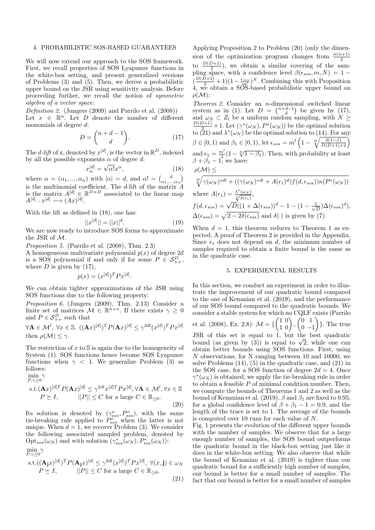#### 4. PROBABILISTIC SOS-BASED GUARANTEES

We will now extend our approach to the SOS framework. First, we recall properties of SOS Lyapunov functions in the white-box setting, and present generalized versions of Problems (3) and (5). Then, we derive a probabilistic upper bound on the JSR using sensitivity analysis. Before proceeding further, we recall the notion of symmetric algebra of a vector space:

Definition 2. (Jungers (2009) and Parrilo et al. (2008)) Let  $x \in \mathbb{R}^n$ . Let  $D$  denote the number of different monomials of degree d:

$$
D = \binom{n+d-1}{d}.\tag{17}
$$

The *d*-lift of x, denoted by  $x^{[d]}$ , is the vector in  $\mathbb{R}^D$ , indexed by all the possible exponents  $\alpha$  of degree d:

$$
x_{\alpha}^{[d]} = \sqrt{\alpha!} x^{\alpha},\tag{18}
$$

where  $\alpha = (\alpha_1, ..., \alpha_n)$  with  $|\alpha| = d$ , and  $\alpha! = \begin{pmatrix} d \\ \alpha_1, ..., \alpha_n \end{pmatrix}$ is the multinomial coefficient. The d-lift of the matrix  $\ddot{A}$ is the matrix  $A^{[d]} \in \mathbb{R}^{D \times D}$  associated to the linear map  $A^{[d]}: x^{[d]} \longrightarrow (Ax)^{[d]}.$ 

With the lift as defined in (18), one has:

$$
||x^{[d]}|| = ||x||^d. \tag{19}
$$

We are now ready to introduce SOS forms to approximate the JSR of M.

Proposition 5. (Parrilo et al. (2008), Thm. 2.3)

A homogeneous multivariate polynomial  $p(x)$  of degree 2d is a SOS polynomial if and only if for some  $P \in \mathcal{S}_{++}^D$ , where  $D$  is given by  $(17)$ ,

$$
p(x) = (x^{[d]})^T P x^{[d]}.
$$

We can obtain tighter approximations of the JSR using SOS functions due to the following property:

Proposition 6. (Jungers (2009), Thm. 2.13) Consider a finite set of matrices  $\mathcal{M} \in \mathbb{R}^{n \times n}$ . If there exists  $\gamma \geq 0$ and  $P \in \mathcal{S}_{++}^D$  such that

$$
\forall \mathbf{A} \in \mathcal{M}^l, \ \forall x \in \mathbb{S}, \ ((\mathbf{A}x)^{[d]})^T P(\mathbf{A}x)^{[d]} \leq \gamma^{2dl} (x^{[d]})^T P x^{[d]}
$$
  
then  $\rho(\mathcal{M}) \leq \gamma$ .

The restriction of  $x$  to  $\mathcal S$  is again due to the homogeneity of System (1). SOS functions hence become SOS Lyapunov functions when  $\gamma$  < 1. We generalize Problem (3) as follows:

$$
\min_{P,\gamma\geq 0} \gamma
$$
\n
$$
\text{s.t.} (\mathbf{A}x)^{[d]T} P(\mathbf{A}x)^{[d]} \leq \gamma^{2dl} x^{[d]T} P x^{[d]}, \forall \mathbf{A} \in \mathcal{M}^l, \forall x \in \mathbb{S}
$$
\n
$$
P \succeq I, \qquad ||P|| \leq C \text{ for a large } C \in \mathbb{R}_{\geq 0}.
$$
\n(20)

Its solution is denoted by  $(\gamma^o_{sos}, P^o_{sos})$ , with the same tie-breaking rule applied to  $P_{sos}^{\sigma}$  when the latter is not unique. When  $d = 1$ , we recover Problem (3). We consider the following associated sampled problem, denoted by  $Opt<sub>sos</sub>(\omega<sub>N</sub>)$  and with solution  $(\gamma<sub>sos</sub><sup>*</sup>(\omega<sub>N</sub>), P<sub>sos</sub><sup>*</sup>(\omega<sub>N</sub>)):$  $\min_{P,\gamma\geq 0} \gamma$ 

s.t.
$$
((\mathbf{A_j}x)^{[d]})^T P(\mathbf{A_j}x)^{[d]} \leq \gamma^{2dl} (x^{[d]})^T P x^{[d]}, \ \forall (x, \mathbf{j}) \in \omega_N
$$
  
\n $P \succeq I, \qquad ||P|| \leq C \text{ for a large } C \in \mathbb{R}_{\geq 0}.$  (21)

Applying Proposition 2 to Problem (20) (only the dimension of the optimization program changes from  $\frac{n(n+1)}{2}$ to  $\frac{D(D+1)}{2}$ , we obtain a similar covering of the sampling space, with a confidence level  $\beta(\epsilon_{sos}, m, N) = 1 \left(\frac{D(D+1)}{2}+1\right)\left(1-\frac{\epsilon_{sos}}{m_s^L}\right)^N$ . Combining this with Proposition 4, we obtain a SOS-based probabilistic upper bound on  $\rho(M)$ :

Theorem 2. Consider an n-dimensional switched linear system as in (1). Let  $D = \begin{pmatrix} n+d-1 \\ d \end{pmatrix}$  be given by (17), and  $\omega_N \subset Z_l$  be a uniform random sampling, with  $N \geq$  $\frac{D(D+1)}{2}+1$ . Let  $(\gamma^*(\omega_N), P^*(\omega_N))$  be the optimal solution to (21) and  $\lambda^*(\omega_N)$  be the optimal solution to (14). For any  $\beta \in [0, 1)$  and  $\beta_1 \in [0, 1)$ , let  $\epsilon_{sos} = m^l \left(1 - \sqrt[N]{\frac{2(1-\beta)}{D(D+1)+2}}\right)$ and  $\epsilon_1 = \frac{m^l}{2} (1 - \sqrt[N]{1 - \beta_1})$ . Then, with probability at least  $\beta + \beta_1 - 1$ , we have:

$$
\rho({\cal M})\leq
$$

$$
\sqrt[d]{\sqrt[d]{(\omega_N)^*d} + ((\gamma(\omega_N)^*d + A(\epsilon_1)^d)f(d, \epsilon_{sos}))\kappa(P^*(\omega_N))}
$$
  
where  $A(\epsilon_1) = \frac{\lambda^*(\omega_N)}{\sqrt{\delta(\epsilon_1)}},$ 

$$
f(d, \epsilon_{sos}) = \sqrt{D}((1 + \Delta(\epsilon_{sos}))^{d} - 1 - (1 - \frac{1}{\sqrt{D}})\Delta(\epsilon_{sos})^{d}),
$$
  
 
$$
\Delta(\epsilon_{sos}) = \sqrt{2 - 2\delta(\epsilon_{sos})}
$$
 and  $\delta(\cdot)$  is given by (7).

When  $d = 1$ , this theorem reduces to Theorem 1 as expected. A proof of Theorem 2 is provided in the Appendix. Since  $\epsilon_1$  does not depend on d, the minimum number of samples required to obtain a finite bound is the same as in the quadratic case.

#### 5. EXPERIMENTAL RESULTS

In this section, we conduct an experiment in order to illustrate the improvement of our quadratic bound compared to the one of Kenanian et al. (2019), and the performance of our SOS bound compared to the quadratic bounds. We consider a stable system for which no CQLF exists (Parrilo et al. (2008), Ex. 2.8):  $\mathcal{M} = \{ \begin{pmatrix} 1 & 0 \\ 1 & 0 \end{pmatrix}, \begin{pmatrix} 0 & 1 \\ 0 & -1 \end{pmatrix}$  $0 -1$  $\}$ . The true JSR of this set is equal to 1, but the best quadratic JSK of this set is equal to 1, but the best quadratic<br>bound (as given by (3)) is equal to  $\sqrt{2}$ , while one can obtain better bounds using SOS functions. First, using N observations, for N ranging between 10 and 10000, we solve Problems (14), (5) in the quadratic case, and (21) in the SOS case, for a SOS function of degree  $2d = 4$ . Once  $\gamma^*(\omega_N)$  is obtained, we apply the tie-breaking rule in order to obtain a feasible  $P$  of minimal condition number. Then, we compute the bounds of Theorems 1 and 2 as well as the bound of Kenanian et al. (2019).  $\beta$  and  $\beta_1$  are fixed to 0.95, for a global confidence level of  $\beta + \beta_1 - 1 = 0.9$ , and the length of the trace is set to 1. The average of the bounds is computed over 10 runs for each value of N.

Fig. 1 presents the evolution of the different upper bounds with the number of samples. We observe that for a large enough number of samples, the SOS bound outperforms the quadratic bound in the black-box setting just like it does in the white-box setting. We also observe that while the bound of Kenanian et al. (2019) is tighter than our quadratic bound for a sufficiently high number of samples, our bound is better for a small number of samples. The fact that our bound is better for a small number of samples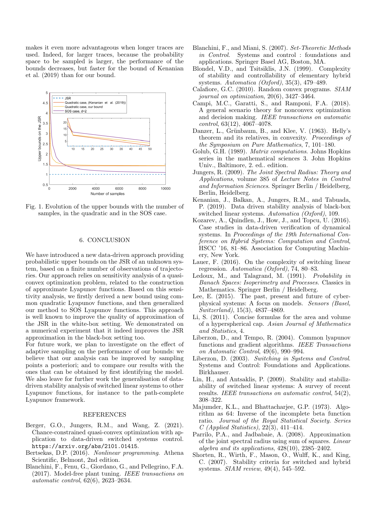makes it even more advantageous when longer traces are used. Indeed, for larger traces, because the probability space to be sampled is larger, the performance of the bounds decreases, but faster for the bound of Kenanian et al. (2019) than for our bound.



Fig. 1. Evolution of the upper bounds with the number of samples, in the quadratic and in the SOS case.

# 6. CONCLUSION

We have introduced a new data-driven approach providing probabilistic upper bounds on the JSR of an unknown system, based on a finite number of observations of trajectories. Our approach relies on sensitivity analysis of a quasiconvex optimization problem, related to the construction of approximate Lyapunov functions. Based on this sensitivity analysis, we firstly derived a new bound using common quadratic Lyapunov functions, and then generalized our method to SOS Lyapunov functions. This approach is well known to improve the quality of approximation of the JSR in the white-box setting. We demonstrated on a numerical experiment that it indeed improves the JSR approximation in the black-box setting too.

For future work, we plan to investigate on the effect of adaptive sampling on the performance of our bounds: we believe that our analysis can be improved by sampling points a posteriori; and to compare our results with the ones that can be obtained by first identifying the model. We also leave for further work the generalisation of datadriven stability analysis of switched linear systems to other Lyapunov functions, for instance to the path-complete Lyapunov framework.

#### REFERENCES

- Berger, G.O., Jungers, R.M., and Wang, Z. (2021). Chance-constrained quasi-convex optimization with application to data-driven switched systems control. https://arxiv.org/abs/2101.01415.
- Bertsekas, D.P. (2016). Nonlinear programming. Athena Scientific, Belmont, 2nd edition.
- Blanchini, F., Fenu, G., Giordano, G., and Pellegrino, F.A. (2017). Model-free plant tuning. IEEE transactions on automatic control, 62(6), 2623–2634.
- Blanchini, F., and Miani, S. (2007). Set-Theoretic Methods in Control. Systems and control : foundations and applications. Springer Basel AG, Boston, MA.
- Blondel, V.D., and Tsitsiklis, J.N. (1999). Complexity of stability and controllability of elementary hybrid systems. Automatica (Oxford), 35(3), 479–489.
- Calafiore, G.C. (2010). Random convex programs. SIAM journal on optimization, 20(6), 3427–3464.
- Campi, M.C., Garatti, S., and Ramponi, F.A. (2018). A general scenario theory for nonconvex optimization and decision making. IEEE transactions on automatic control, 63(12), 4067–4078.
- Danzer, L., Grünbaum, B., and Klee, V. (1963). Helly's theorem and its relatives, in convexity. Proceedings of the Symposium on Pure Mathematics, 7, 101–180.
- Golub, G.H. (1989). Matrix computations. Johns Hopkins series in the mathematical sciences 3. John Hopkins Univ., Baltimore, 2. ed.. edition.
- Jungers, R. (2009). The Joint Spectral Radius: Theory and Applications, volume 385 of Lecture Notes in Control and Information Sciences. Springer Berlin / Heidelberg, Berlin, Heidelberg.
- Kenanian, J., Balkan, A., Jungers, R.M., and Tabuada, P. (2019). Data driven stability analysis of black-box switched linear systems. Automatica (Oxford), 109.
- Kozarev, A., Quindlen, J., How, J., and Topcu, U. (2016). Case studies in data-driven verification of dynamical systems. In Proceedings of the 19th International Conference on Hybrid Systems: Computation and Control, HSCC '16, 81–86. Association for Computing Machinery, New York.
- Lauer, F. (2016). On the complexity of switching linear regression. Automatica (Oxford), 74, 80–83.
- Ledoux, M., and Talagrand, M. (1991). Probability in Banach Spaces: Isoperimetry and Processes. Classics in Mathematics. Springer Berlin / Heidelberg.
- Lee, E. (2015). The past, present and future of cyberphysical systems: A focus on models. Sensors (Basel, Switzerland), 15(3), 4837–4869.
- Li, S. (2011). Concise formulas for the area and volume of a hyperspherical cap. Asian Journal of Mathematics and Statistics, 4.
- Liberzon, D., and Tempo, R. (2004). Common lyapunov functions and gradient algorithms. IEEE Transactions on Automatic Control, 49(6), 990–994.
- Liberzon, D. (2003). Switching in Systems and Control. Systems and Control: Foundations and Applications. Birkhauser.
- Lin, H., and Antsaklis, P. (2009). Stability and stabilizability of switched linear systems: A survey of recent results. IEEE transactions on automatic control, 54(2), 308–322.
- Majumder, K.L., and Bhattacharjee, G.P. (1973). Algorithm as 64: Inverse of the incomplete beta function ratio. Journal of the Royal Statistical Society. Series C (Applied Statistics), 22(3), 411–414.
- Parrilo, P.A., and Jadbabaie, A. (2008). Approximation of the joint spectral radius using sum of squares. Linear algebra and its applications,  $428(10)$ ,  $2385-2402$ .
- Shorten, R., Wirth, F., Mason, O., Wulff, K., and King, C. (2007). Stability criteria for switched and hybrid systems. SIAM review, 49(4), 545–592.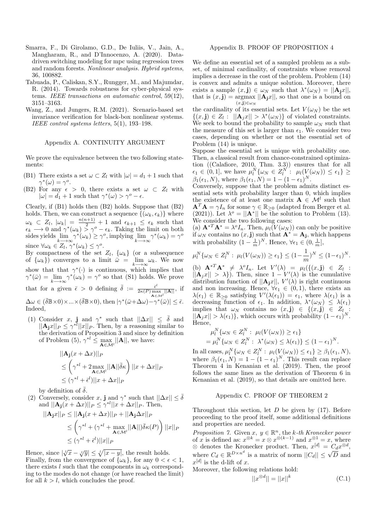- Smarra, F., Di Girolamo, G.D., De Iuliis, V., Jain, A., Mangharam, R., and D'Innocenzo, A. (2020). Datadriven switching modeling for mpc using regression trees and random forests. Nonlinear analysis. Hybrid systems, 36, 100882.
- Tabuada, P., Caliskan, S.Y., Rungger, M., and Majumdar, R. (2014). Towards robustness for cyber-physical systems. IEEE transactions on automatic control, 59(12), 3151–3163.
- Wang, Z., and Jungers, R.M. (2021). Scenario-based set invariance verification for black-box nonlinear systems. IEEE control systems letters, 5(1), 193–198.

#### Appendix A. CONTINUITY ARGUMENT

We prove the equivalence between the two following statements:

- (B1) There exists a set  $\omega \subset Z_l$  with  $|\omega| = d_1 + 1$  such that  $\gamma^*(\omega) = \gamma^o.$
- (B2) For any  $\epsilon > 0$ , there exists a set  $\omega \subset Z_l$  with  $|\omega| = d_1 + 1$  such that  $\gamma^*(\omega) > \gamma^o \epsilon$  $|\omega| = d_1 + 1$  such that  $\gamma^*(\omega) > \gamma^o - \epsilon$ .

Clearly, if (B1) holds then (B2) holds. Suppose that (B2) holds. Then, we can construct a sequence  $\{(\omega_k, \epsilon_k)\}\$  where  $\omega_k \subset Z_l$ ,  $|\omega_k| = \frac{n(n+1)}{2} + 1$  and  $\epsilon_{k+1} \leq \epsilon_k$  such that  $\epsilon_k \longrightarrow 0$  and  $\gamma^*(\omega_k) \stackrel{\sim}{\geq} \gamma^o - \epsilon_k$ . Taking the limit on both sides yields  $\lim_{k \to \infty} \gamma^*(\omega_k) \ge \gamma^o$ , implying  $\lim_{k \to \infty} \gamma^*(\omega_k) = \gamma^o$ since  $\forall \omega_k \in Z_l$ ,  $\gamma^*(\omega_k) \leq \gamma^o$ .

By compactness of the set  $Z_l$ ,  $\{\omega_k\}$  (or a subsequence of  $\{\omega_k\}$  converges to a limit  $\bar{\omega} = \lim_{k \to \infty} \omega_k$ . We now show that that  $\gamma^*(\cdot)$  is continuous, which implies that  $\gamma^*(\bar{\omega}) = \lim_{k \to \infty} \gamma^*(\omega_k) = \gamma^o$  so that (S1) holds. We prove that for a given  $\bar{\epsilon} > 0$  defining  $\bar{\delta} := \frac{\bar{\epsilon}^l}{2\kappa(P) m s}$  $\frac{\epsilon^{\nu}}{2\kappa(P) \max_{\mathbf{A} \in \mathcal{M}^{l}} ||\mathbf{A}||}, \text{ if}$  $\Delta \omega \in (\bar{\delta} \mathbb{B} \times 0) \times ... \times (\bar{\delta} \mathbb{B} \times 0), \text{ then } |\gamma^*(\bar{\omega} + \Delta \omega) - \gamma^*(\bar{\omega})| \leq \bar{\epsilon}.$ Indeed,

(1) Consider x, j and  $\gamma^*$  such that  $||\Delta x|| \leq \overline{\delta}$  and  $||\mathbf{A_jx}||_P \leq \gamma^{*l}||x||_P$ . Then, by a reasoning similar to the derivation of Proposition 3 and since by definition of Problem (5),  $\gamma^{*l} \leq \max_{\mathbf{A} \in \mathcal{M}^l} ||\mathbf{A}||$ , we have:

$$
||\mathbf{A}_{\mathbf{j}}(x + \Delta x)||_P
$$
  
\n
$$
\leq \left(\gamma^{*l} + 2 \max_{\mathbf{A} \in \mathcal{M}^l} ||\mathbf{A}|| \bar{\delta} \kappa\right) ||x + \Delta x||_P
$$
  
\n
$$
\leq (\gamma^{*l} + \bar{\epsilon}^l) ||x + \Delta x||_P
$$

by definition of  $\bar{\delta}$ .

(2) Conversely, consider x, j and  $\gamma^*$  such that  $||\Delta x|| \leq \overline{\delta}$ and  $||\mathbf{A_j}(x + \Delta x)||_P \leq \gamma^{*l} ||x + \Delta x||_P$ . Then,

$$
||\mathbf{A}_{\mathbf{j}}x||_P \le ||\mathbf{A}_{\mathbf{j}}(x + \Delta x)||_P + ||\mathbf{A}_{\mathbf{j}}\Delta x||_P
$$
  
\n
$$
\le \left(\gamma^{*l} + (\gamma^{*l} + \max_{\mathbf{A}\in\mathcal{M}^l} ||\mathbf{A}||)\overline{\delta}\kappa(P)\right)||x||_P
$$
  
\n
$$
\le (\gamma^{*l} + \overline{\epsilon}^l)||x||_P
$$

Hence, since  $|\sqrt[n]{x} - \sqrt[n]{y}| \le \sqrt[n]{|x - y|}$ , the result holds. Finally, from the convergence of  $\{\omega_k\}$ , for any  $0 < \epsilon < 1$ , there exists l such that the components in  $\omega_k$  corresponding to the modes do not change (or have reached the limit) for all  $k > l$ , which concludes the proof.

#### Appendix B. PROOF OF PROPOSITION 4

We define an essential set of a sampled problem as a subset, of minimal cardinality, of constraints whose removal implies a decrease in the cost of the problem. Problem (14) is convex and admits a unique solution. Moreover, there exists a sample  $(x, \mathbf{j}) \in \omega_N$  such that  $\lambda^*(\omega_N) = ||\mathbf{A}_\mathbf{j} x||$ , that is  $(x, \mathbf{j}) = \argmax ||\mathbf{A}_{\mathbf{j}}x||$ , so that one is a bound on  $(x,j) \in \omega_N$ 

the cardinality of its essential sets. Let  $V(\omega_N)$  be the set  $\{(x, \mathbf{j}) \in Z_l : ||\mathbf{A}_j x|| > \lambda^*(\omega_N)\}\$ of violated constraints. We seek to bound the probability to sample  $\omega_N$  such that the measure of this set is larger than  $\epsilon_1$ . We consider two cases, depending on whether or not the essential set of Problem (14) is unique.

Suppose the essential set is unique with probability one. Then, a classical result from chance-constrained optimization ((Calafiore, 2010, Thm. 3.3)) ensures that for all  $\epsilon_1 \in (0,1],$  we have  $\mu_l^N\{\omega_N \in Z_l^{N'}: \mu_l(V(\omega_N)) \leq \epsilon_1\} \geq$  $\beta_1(\epsilon_1, N)$ , where  $\beta_1(\epsilon_1, N) = 1 - (1 - \epsilon_1)^N$ .

Conversely, suppose that the problem admits distinct essential sets with probability larger than 0, which implies the existence of at least one matrix  $\mathbf{A} \in \mathcal{M}^l$  such that  $\mathbf{A}^T \mathbf{A} = \gamma I_n$  for some  $\gamma \in \mathbb{R}_{\geq 0}$  (adapted from Berger et al. (2021)). Let  $\lambda^o = ||\mathbf{A}^*||$  be the solution to Problem (13). We consider the two following cases:

(a)  $\mathbf{A}^{*T}\mathbf{A}^* = \lambda^o I_n$ . Then,  $\mu_l(V(\omega_N))$  can only be positive if  $\omega_N$  contains no  $(x, \mathbf{j})$  such that  $\mathbf{A}^* = \mathbf{A}_\mathbf{j}$ , which happens with probability  $(1 - \frac{1}{m})^N$ . Hence,  $\forall \epsilon_1 \in (0, \frac{1}{m}],$ 

$$
\mu_l^N\{\omega_N \in Z_l^N : \mu_l(V(\omega_N)) \ge \epsilon_1\} \le (1 - \frac{1}{m})^N \le (1 - \epsilon_1)^N.
$$

(b)  $\mathbf{A}^{*T} \mathbf{A}^* \neq \lambda^0 I_n$ . Let  $V'(\lambda) = \mu_l(\{(x, \mathbf{j}) \in Z_l :$  $||A_jx|| > \lambda$ ). Then, since  $1 - V'(\lambda)$  is the cumulative distribution function of  $||A_jx||$ ,  $V'(\lambda)$  is right continuous and non increasing. Hence,  $\forall \epsilon_1 \in (0,1)$ , there exists an  $\lambda(\epsilon_1) \in \mathbb{R}_{\geq 0}$  satisfying  $V'(\lambda(\epsilon_1)) = \epsilon_1$ , where  $\lambda(\epsilon_1)$  is a decreasing function of  $\epsilon_1$ . In addition,  $\lambda^*(\omega_N) \leq \lambda(\epsilon_1)$ implies that  $\omega_N$  contains no  $(x, \mathbf{j}) \in \{(x, \mathbf{j}) \in Z_l\}$ :  $||\mathbf{A}_j x|| > \lambda(\epsilon_1)$ , which occurs with probability  $(1 - \epsilon_1)^N$ . Hence,

$$
\mu_l^N\{\omega_N \in Z_l^N : \mu_l(V(\omega_N)) \ge \epsilon_1\}
$$
  
= 
$$
\mu_l^N\{\omega_N \in Z_l^N : \lambda^*(\omega_N) \le \lambda(\epsilon_1)\} \le (1 - \epsilon_1)^N.
$$

In all cases,  $\mu_l^N\{\omega_N \in Z_l^N : \mu_l(V(\omega_N)) \leq \epsilon_1\} \geq \beta_1(\epsilon_1, N),$ where  $\beta_1(\epsilon_1, N) = 1 - (1 - \epsilon_1)^N$ . This result can replace Theorem 4 in Kenanian et al. (2019). Then, the proof follows the same lines as the derivation of Theorem 6 in Kenanian et al. (2019), so that details are omitted here.

## Appendix C. PROOF OF THEOREM 2

Throughout this section, let  $D$  be given by (17). Before proceeding to the proof itself, some additional definitions and properties are needed.

Proposition 7. Given  $x, y \in \mathbb{R}^n$ , the k-th Kronecker power of x is defined as:  $x^{\otimes k} = x \otimes x^{\otimes (k-1)}$  and  $x^{\otimes 1} = x$ , where  $\otimes$  denotes the Kronecker product. Then,  $x^{[d]} = C_d x^{\otimes d}$ , where  $C_d \in \mathbb{R}^{D \times n^d}$  is a matrix of norm  $||C_d|| \leq \sqrt{D}$  and  $x^{[d]}$  is the d-lift of x.

Moreover, the following relations hold:

$$
||x^{\otimes d}|| = ||x||^k \tag{C.1}
$$